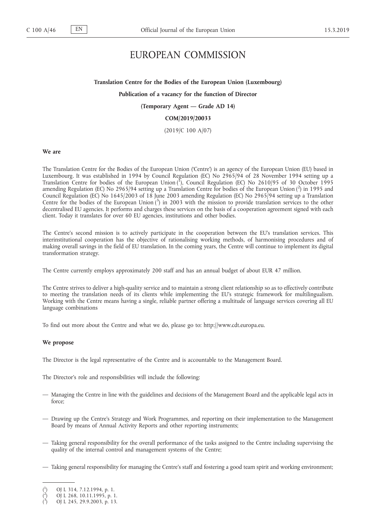# EUROPEAN COMMISSION

## **Translation Centre for the Bodies of the European Union (Luxembourg)**

## **Publication of a vacancy for the function of Director**

# **(Temporary Agent — Grade AD 14)**

## **COM/2019/20033**

(2019/C 100 A/07)

#### **We are**

The Translation Centre for the Bodies of the European Union ('Centre') is an agency of the European Union (EU) based in Luxembourg. It was established in 1994 by Council Regulation (EC) No 2965/94 of 28 November 1994 setting up a Translation Centre for bodies of the European Union  $\binom{1}{1}$ , Council Regulation (EC) No 2610/95 of 30 October 1995 amending Regulation (EC) No 2965/94 setting up a Translation Centre for bodies of the European Union (2) in 1995 and Council Regulation (EC) No 1645/2003 of 18 June 2003 amending Regulation (EC) No 2965/94 setting up a Translation Centre for the bodies of the European Union (3) in 2003 with the mission to provide translation services to the other decentralised EU agencies. It performs and charges these services on the basis of a cooperation agreement signed with each client. Today it translates for over 60 EU agencies, institutions and other bodies.

The Centre's second mission is to actively participate in the cooperation between the EU's translation services. This interinstitutional cooperation has the objective of rationalising working methods, of harmonising procedures and of making overall savings in the field of EU translation. In the coming years, the Centre will continue to implement its digital transformation strategy.

The Centre currently employs approximately 200 staff and has an annual budget of about EUR 47 million.

The Centre strives to deliver a high-quality service and to maintain a strong client relationship so as to effectively contribute to meeting the translation needs of its clients while implementing the EU's strategic framework for multilingualism. Working with the Centre means having a single, reliable partner offering a multitude of language services covering all EU language combinations

To find out more about the Centre and what we do, please go to: [http://www.cdt.europa.eu.](http://www.cdt.europa.eu)

# **We propose**

The Director is the legal representative of the Centre and is accountable to the Management Board.

The Director's role and responsibilities will include the following:

- Managing the Centre in line with the guidelines and decisions of the Management Board and the applicable legal acts in force;
- Drawing up the Centre's Strategy and Work Programmes, and reporting on their implementation to the Management Board by means of Annual Activity Reports and other reporting instruments;
- Taking general responsibility for the overall performance of the tasks assigned to the Centre including supervising the quality of the internal control and management systems of the Centre;
- Taking general responsibility for managing the Centre's staff and fostering a good team spirit and working environment;

<sup>(</sup> 1 ) OJ L 314, 7.12.1994, p. 1.

<sup>(</sup> 2 ) OJ L 268, 10.11.1995, p. 1.

<sup>(</sup> 3 ) OJ L 245, 29.9.2003, p. 13.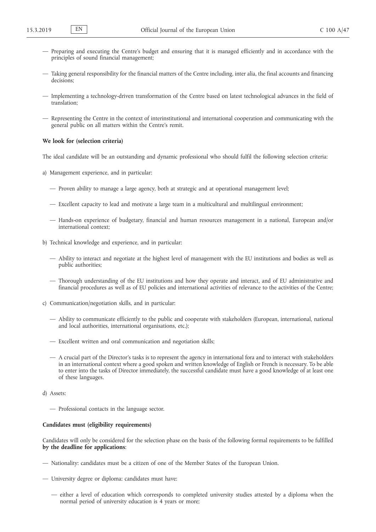- Preparing and executing the Centre's budget and ensuring that it is managed efficiently and in accordance with the principles of sound financial management;
- Taking general responsibility for the financial matters of the Centre including, inter alia, the final accounts and financing decisions;
- Implementing a technology-driven transformation of the Centre based on latest technological advances in the field of translation;
- Representing the Centre in the context of interinstitutional and international cooperation and communicating with the general public on all matters within the Centre's remit.

# **We look for (selection criteria)**

The ideal candidate will be an outstanding and dynamic professional who should fulfil the following selection criteria:

- a) Management experience, and in particular:
	- Proven ability to manage a large agency, both at strategic and at operational management level;
	- Excellent capacity to lead and motivate a large team in a multicultural and multilingual environment;
	- Hands-on experience of budgetary, financial and human resources management in a national, European and/or international context;
- b) Technical knowledge and experience, and in particular:
	- Ability to interact and negotiate at the highest level of management with the EU institutions and bodies as well as public authorities;
	- Thorough understanding of the EU institutions and how they operate and interact, and of EU administrative and financial procedures as well as of EU policies and international activities of relevance to the activities of the Centre;
- c) Communication/negotiation skills, and in particular:
	- Ability to communicate efficiently to the public and cooperate with stakeholders (European, international, national and local authorities, international organisations, etc.);
	- Excellent written and oral communication and negotiation skills;
	- A crucial part of the Director's tasks is to represent the agency in international fora and to interact with stakeholders in an international context where a good spoken and written knowledge of English or French is necessary. To be able to enter into the tasks of Director immediately, the successful candidate must have a good knowledge of at least one of these languages.
- d) Assets:
	- Professional contacts in the language sector.

## **Candidates must (eligibility requirements)**

Candidates will only be considered for the selection phase on the basis of the following formal requirements to be fulfilled **by the deadline for applications**:

- Nationality: candidates must be a citizen of one of the Member States of the European Union.
- University degree or diploma: candidates must have:
	- either a level of education which corresponds to completed university studies attested by a diploma when the normal period of university education is 4 years or more;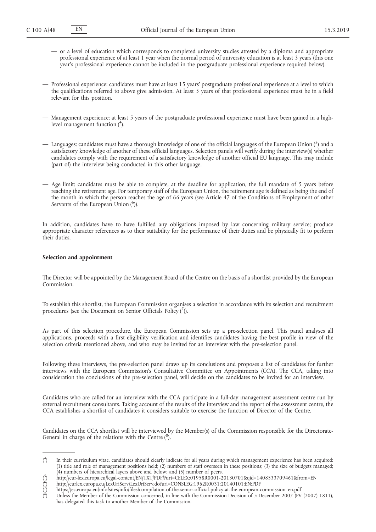- or a level of education which corresponds to completed university studies attested by a diploma and appropriate professional experience of at least 1 year when the normal period of university education is at least 3 years (this one year's professional experience cannot be included in the postgraduate professional experience required below).
- Professional experience: candidates must have at least 15 years' postgraduate professional experience at a level to which the qualifications referred to above give admission. At least 5 years of that professional experience must be in a field relevant for this position.
- Management experience: at least 5 years of the postgraduate professional experience must have been gained in a highlevel management function (4).
- $-$  Languages: candidates must have a thorough knowledge of one of the official languages of the European Union (5) and a satisfactory knowledge of another of these official languages. Selection panels will verify during the interview(s) whether candidates comply with the requirement of a satisfactory knowledge of another official EU language. This may include (part of) the interview being conducted in this other language.
- Age limit: candidates must be able to complete, at the deadline for application, the full mandate of 5 years before reaching the retirement age. For temporary staff of the European Union, the retirement age is defined as being the end of the month in which the person reaches the age of 66 years (see Article 47 of the Conditions of Employment of other Servants of the European Union (<sup>6</sup>)).

In addition, candidates have to have fulfilled any obligations imposed by law concerning military service; produce appropriate character references as to their suitability for the performance of their duties and be physically fit to perform their duties.

### **Selection and appointment**

The Director will be appointed by the Management Board of the Centre on the basis of a shortlist provided by the European Commission.

To establish this shortlist, the European Commission organises a selection in accordance with its selection and recruitment procedures (see the Document on Senior Officials Policy  $\binom{7}{1}$ ).

As part of this selection procedure, the European Commission sets up a pre-selection panel. This panel analyses all applications, proceeds with a first eligibility verification and identifies candidates having the best profile in view of the selection criteria mentioned above, and who may be invited for an interview with the pre-selection panel.

Following these interviews, the pre-selection panel draws up its conclusions and proposes a list of candidates for further interviews with the European Commission's Consultative Committee on Appointments (CCA). The CCA, taking into consideration the conclusions of the pre-selection panel, will decide on the candidates to be invited for an interview.

Candidates who are called for an interview with the CCA participate in a full-day management assessment centre run by external recruitment consultants. Taking account of the results of the interview and the report of the assessment centre, the CCA establishes a shortlist of candidates it considers suitable to exercise the function of Director of the Centre.

Candidates on the CCA shortlist will be interviewed by the Member(s) of the Commission responsible for the Directorate-General in charge of the relations with the Centre  $(^8)$ .

 $($ <sup>4</sup> ) In their curriculum vitae, candidates should clearly indicate for all years during which management experience has been acquired: (1) title and role of management positions held; (2) numbers of staff overseen in these positions; (3) the size of budgets managed; (4) numbers of hierarchical layers above and below; and (5) number of peers.

<sup>(</sup> 5 ) <http://eur-lex.europa.eu/legal-content/EN/TXT/PDF/?uri=CELEX:01958R0001-20130701&qid=1408533709461&from=EN>

<sup>(</sup> 6 ) <http://eurlex.europa.eu/LexUriServ/LexUriServ.do?uri=CONSLEG:1962R0031:20140101:EN:PDF>

<sup>(</sup> 7 ) [https://ec.europa.eu/info/sites/info/files/compilation-of-the-senior-official-policy-at-the-european-commission\\_en.pdf](https://ec.europa.eu/info/sites/info/files/compilation-of-the-senior-official-policy-at-the-european-commission_en.pdf)

<sup>(</sup> 8 ) Unless the Member of the Commission concerned, in line with the Commission Decision of 5 December 2007 (PV (2007) 1811), has delegated this task to another Member of the Commission.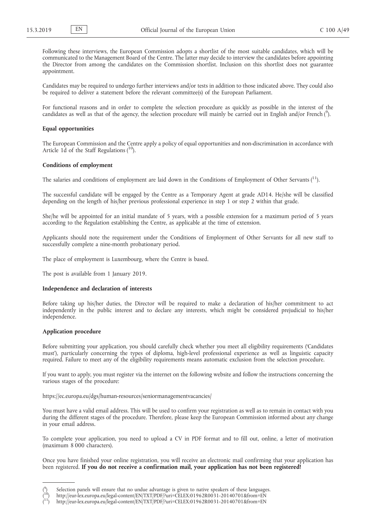Following these interviews, the European Commission adopts a shortlist of the most suitable candidates, which will be communicated to the Management Board of the Centre. The latter may decide to interview the candidates before appointing the Director from among the candidates on the Commission shortlist. Inclusion on this shortlist does not guarantee appointment.

Candidates may be required to undergo further interviews and/or tests in addition to those indicated above. They could also be required to deliver a statement before the relevant committee(s) of the European Parliament.

For functional reasons and in order to complete the selection procedure as quickly as possible in the interest of the candidates as well as that of the agency, the selection procedure will mainly be carried out in English and/or French (<sup>9</sup>).

### **Equal opportunities**

The European Commission and the Centre apply a policy of equal opportunities and non-discrimination in accordance with Article 1 $\overline{d}$  of the Staff Regulations (<sup>10</sup>).

#### **Conditions of employment**

The salaries and conditions of employment are laid down in the Conditions of Employment of Other Servants  $(^{11})$ .

The successful candidate will be engaged by the Centre as a Temporary Agent at grade AD14. He/she will be classified depending on the length of his/her previous professional experience in step 1 or step 2 within that grade.

She/he will be appointed for an initial mandate of 5 years, with a possible extension for a maximum period of 5 years according to the Regulation establishing the Centre, as applicable at the time of extension.

Applicants should note the requirement under the Conditions of Employment of Other Servants for all new staff to successfully complete a nine-month probationary period.

The place of employment is Luxembourg, where the Centre is based.

The post is available from 1 January 2019.

#### **Independence and declaration of interests**

Before taking up his/her duties, the Director will be required to make a declaration of his/her commitment to act independently in the public interest and to declare any interests, which might be considered prejudicial to his/her independence.

### **Application procedure**

(

Before submitting your application, you should carefully check whether you meet all eligibility requirements ('Candidates must'), particularly concerning the types of diploma, high-level professional experience as well as linguistic capacity required. Failure to meet any of the eligibility requirements means automatic exclusion from the selection procedure.

If you want to apply, you must register via the internet on the following website and follow the instructions concerning the various stages of the procedure:

<https://ec.europa.eu/dgs/human-resources/seniormanagementvacancies/>

You must have a valid email address. This will be used to confirm your registration as well as to remain in contact with you during the different stages of the procedure. Therefore, please keep the European Commission informed about any change in your email address.

To complete your application, you need to upload a CV in PDF format and to fill out, online, a letter of motivation (maximum 8 000 characters).

Once you have finished your online registration, you will receive an electronic mail confirming that your application has been registered. **If you do not receive a confirmation mail, your application has not been registered!**

<sup>9</sup> ) Selection panels will ensure that no undue advantage is given to native speakers of these languages. 10) <http://eur-lex.europa.eu/legal-content/EN/TXT/PDF/?uri=CELEX:01962R0031-20140701&from=EN>

<sup>(</sup>

<sup>(</sup> 11) <http://eur-lex.europa.eu/legal-content/EN/TXT/PDF/?uri=CELEX:01962R0031-20140701&from=EN>